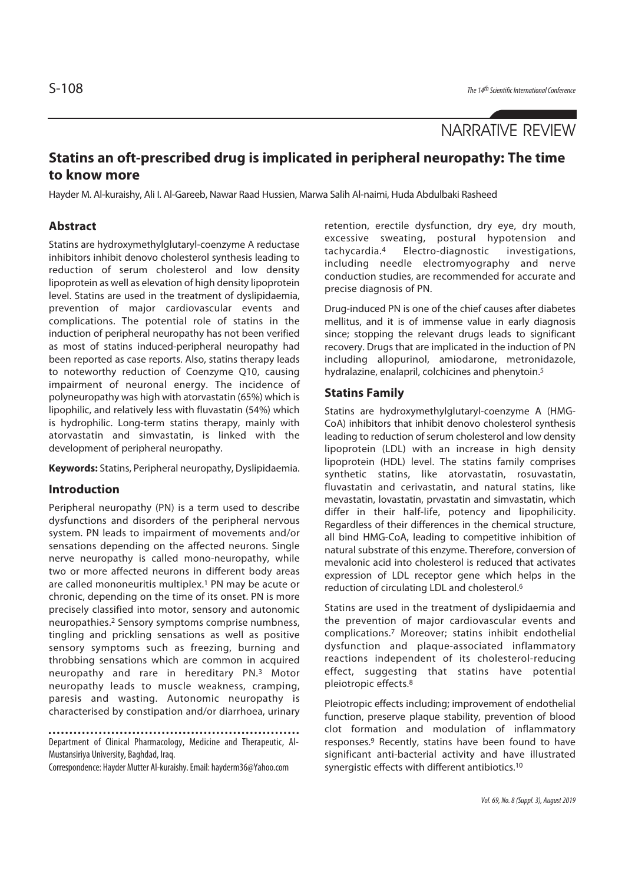# NARRATIVE REVIEW

# **Statins an oft-prescribed drug is implicated in peripheral neuropathy: The time to know more**

Hayder M. Al-kuraishy, Ali I. Al-Gareeb, Nawar Raad Hussien, Marwa Salih Al-naimi, Huda Abdulbaki Rasheed

## **Abstract**

Statins are hydroxymethylglutaryl-coenzyme A reductase inhibitors inhibit denovo cholesterol synthesis leading to reduction of serum cholesterol and low density lipoprotein as well as elevation of high density lipoprotein level. Statins are used in the treatment of dyslipidaemia, prevention of major cardiovascular events and complications. The potential role of statins in the induction of peripheral neuropathy has not been verified as most of statins induced-peripheral neuropathy had been reported as case reports. Also, statins therapy leads to noteworthy reduction of Coenzyme Q10, causing impairment of neuronal energy. The incidence of polyneuropathy was high with atorvastatin (65%) which is lipophilic, and relatively less with fluvastatin (54%) which is hydrophilic. Long-term statins therapy, mainly with atorvastatin and simvastatin, is linked with the development of peripheral neuropathy.

**Keywords:** Statins, Peripheral neuropathy, Dyslipidaemia.

#### **Introduction**

Peripheral neuropathy (PN) is a term used to describe dysfunctions and disorders of the peripheral nervous system. PN leads to impairment of movements and/or sensations depending on the affected neurons. Single nerve neuropathy is called mono-neuropathy, while two or more affected neurons in different body areas are called mononeuritis multiplex.1 PN may be acute or chronic, depending on the time of its onset. PN is more precisely classified into motor, sensory and autonomic neuropathies.2 Sensory symptoms comprise numbness, tingling and prickling sensations as well as positive sensory symptoms such as freezing, burning and throbbing sensations which are common in acquired neuropathy and rare in hereditary PN.3 Motor neuropathy leads to muscle weakness, cramping, paresis and wasting. Autonomic neuropathy is characterised by constipation and/or diarrhoea, urinary

Department of Clinical Pharmacology, Medicine and Therapeutic, Al-Mustansiriya University, Baghdad, Iraq.

Correspondence: Hayder Mutter Al-kuraishy. Email: hayderm36@Yahoo.com

retention, erectile dysfunction, dry eye, dry mouth, excessive sweating, postural hypotension and tachycardia.4 Electro-diagnostic investigations, including needle electromyography and nerve conduction studies, are recommended for accurate and precise diagnosis of PN.

Drug-induced PN is one of the chief causes after diabetes mellitus, and it is of immense value in early diagnosis since; stopping the relevant drugs leads to significant recovery. Drugs that are implicated in the induction of PN including allopurinol, amiodarone, metronidazole, hydralazine, enalapril, colchicines and phenytoin.<sup>5</sup>

#### **Statins Family**

Statins are hydroxymethylglutaryl-coenzyme A (HMG-CoA) inhibitors that inhibit denovo cholesterol synthesis leading to reduction of serum cholesterol and low density lipoprotein (LDL) with an increase in high density lipoprotein (HDL) level. The statins family comprises synthetic statins, like atorvastatin, rosuvastatin, fluvastatin and cerivastatin, and natural statins, like mevastatin, lovastatin, prvastatin and simvastatin, which differ in their half-life, potency and lipophilicity. Regardless of their differences in the chemical structure, all bind HMG-CoA, leading to competitive inhibition of natural substrate of this enzyme. Therefore, conversion of mevalonic acid into cholesterol is reduced that activates expression of LDL receptor gene which helps in the reduction of circulating LDL and cholesterol.6

Statins are used in the treatment of dyslipidaemia and the prevention of major cardiovascular events and complications.7 Moreover; statins inhibit endothelial dysfunction and plaque-associated inflammatory reactions independent of its cholesterol-reducing effect, suggesting that statins have potential pleiotropic effects.8

Pleiotropic effects including; improvement of endothelial function, preserve plaque stability, prevention of blood clot formation and modulation of inflammatory responses.9 Recently, statins have been found to have significant anti-bacterial activity and have illustrated synergistic effects with different antibiotics.10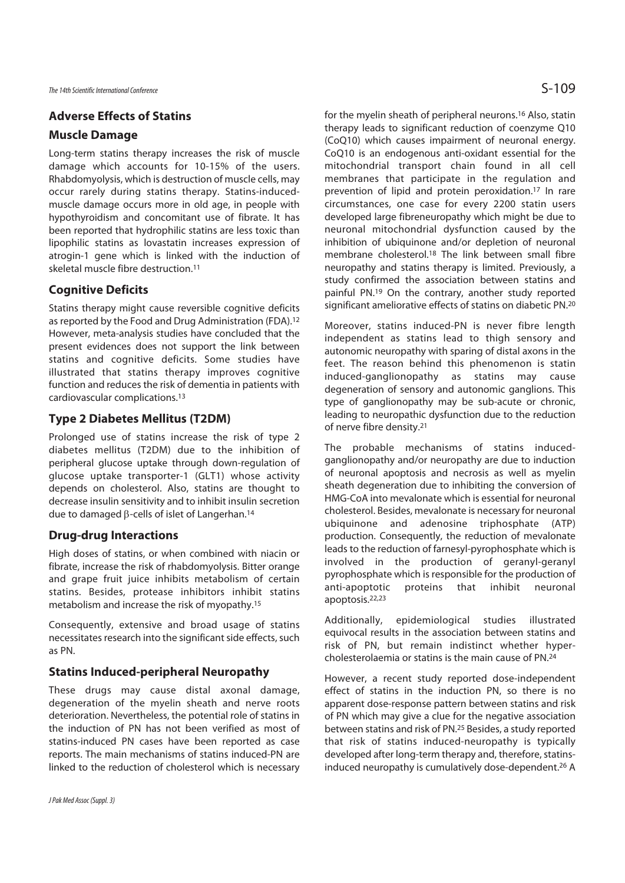## **Adverse Effects of Statins**

#### **Muscle Damage**

Long-term statins therapy increases the risk of muscle damage which accounts for 10-15% of the users. Rhabdomyolysis, which is destruction of muscle cells, may occur rarely during statins therapy. Statins-inducedmuscle damage occurs more in old age, in people with hypothyroidism and concomitant use of fibrate. It has been reported that hydrophilic statins are less toxic than lipophilic statins as lovastatin increases expression of atrogin-1 gene which is linked with the induction of skeletal muscle fibre destruction.11

#### **Cognitive Deficits**

Statins therapy might cause reversible cognitive deficits as reported by the Food and Drug Administration (FDA).12 However, meta-analysis studies have concluded that the present evidences does not support the link between statins and cognitive deficits. Some studies have illustrated that statins therapy improves cognitive function and reduces the risk of dementia in patients with cardiovascular complications.13

# **Type 2 Diabetes Mellitus (T2DM)**

Prolonged use of statins increase the risk of type 2 diabetes mellitus (T2DM) due to the inhibition of peripheral glucose uptake through down-regulation of glucose uptake transporter-1 (GLT1) whose activity depends on cholesterol. Also, statins are thought to decrease insulin sensitivity and to inhibit insulin secretion due to damaged β-cells of islet of Langerhan.14

## **Drug-drug Interactions**

High doses of statins, or when combined with niacin or fibrate, increase the risk of rhabdomyolysis. Bitter orange and grape fruit juice inhibits metabolism of certain statins. Besides, protease inhibitors inhibit statins metabolism and increase the risk of myopathy.15

Consequently, extensive and broad usage of statins necessitates research into the significant side effects, such as PN.

#### **Statins Induced-peripheral Neuropathy**

These drugs may cause distal axonal damage, degeneration of the myelin sheath and nerve roots deterioration. Nevertheless, the potential role of statins in the induction of PN has not been verified as most of statins-induced PN cases have been reported as case reports. The main mechanisms of statins induced-PN are linked to the reduction of cholesterol which is necessary for the myelin sheath of peripheral neurons.16 Also, statin therapy leads to significant reduction of coenzyme Q10 (CoQ10) which causes impairment of neuronal energy. CoQ10 is an endogenous anti-oxidant essential for the mitochondrial transport chain found in all cell membranes that participate in the regulation and prevention of lipid and protein peroxidation.17 In rare circumstances, one case for every 2200 statin users developed large fibreneuropathy which might be due to neuronal mitochondrial dysfunction caused by the inhibition of ubiquinone and/or depletion of neuronal membrane cholesterol.18 The link between small fibre neuropathy and statins therapy is limited. Previously, a study confirmed the association between statins and painful PN.19 On the contrary, another study reported significant ameliorative effects of statins on diabetic PN.20

Moreover, statins induced-PN is never fibre length independent as statins lead to thigh sensory and autonomic neuropathy with sparing of distal axons in the feet. The reason behind this phenomenon is statin induced-ganglionopathy as statins may cause degeneration of sensory and autonomic ganglions. This type of ganglionopathy may be sub-acute or chronic, leading to neuropathic dysfunction due to the reduction of nerve fibre density.21

The probable mechanisms of statins inducedganglionopathy and/or neuropathy are due to induction of neuronal apoptosis and necrosis as well as myelin sheath degeneration due to inhibiting the conversion of HMG-CoA into mevalonate which is essential for neuronal cholesterol. Besides, mevalonate is necessary for neuronal ubiquinone and adenosine triphosphate (ATP) production. Consequently, the reduction of mevalonate leads to the reduction of farnesyl-pyrophosphate which is involved in the production of geranyl-geranyl pyrophosphate which is responsible for the production of anti-apoptotic proteins that inhibit neuronal apoptosis.22,23

Additionally, epidemiological studies illustrated equivocal results in the association between statins and risk of PN, but remain indistinct whether hypercholesterolaemia or statins is the main cause of PN.24

However, a recent study reported dose-independent effect of statins in the induction PN, so there is no apparent dose-response pattern between statins and risk of PN which may give a clue for the negative association between statins and risk of PN.25 Besides, a study reported that risk of statins induced-neuropathy is typically developed after long-term therapy and, therefore, statinsinduced neuropathy is cumulatively dose-dependent.26 A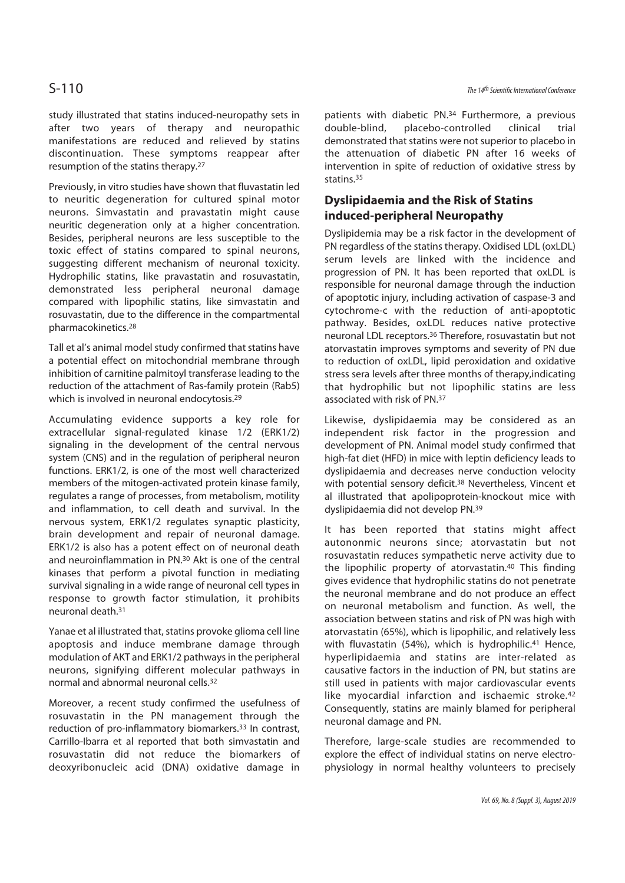study illustrated that statins induced-neuropathy sets in after two years of therapy and neuropathic manifestations are reduced and relieved by statins discontinuation. These symptoms reappear after resumption of the statins therapy.27

Previously, in vitro studies have shown that fluvastatin led to neuritic degeneration for cultured spinal motor neurons. Simvastatin and pravastatin might cause neuritic degeneration only at a higher concentration. Besides, peripheral neurons are less susceptible to the toxic effect of statins compared to spinal neurons, suggesting different mechanism of neuronal toxicity. Hydrophilic statins, like pravastatin and rosuvastatin, demonstrated less peripheral neuronal damage compared with lipophilic statins, like simvastatin and rosuvastatin, due to the difference in the compartmental pharmacokinetics.28

Tall et al's animal model study confirmed that statins have a potential effect on mitochondrial membrane through inhibition of carnitine palmitoyl transferase leading to the reduction of the attachment of Ras-family protein (Rab5) which is involved in neuronal endocytosis.<sup>29</sup>

Accumulating evidence supports a key role for extracellular signal-regulated kinase 1/2 (ERK1/2) signaling in the development of the central nervous system (CNS) and in the regulation of peripheral neuron functions. ERK1/2, is one of the most well characterized members of the mitogen-activated protein kinase family, regulates a range of processes, from metabolism, motility and inflammation, to cell death and survival. In the nervous system, ERK1/2 regulates synaptic plasticity, brain development and repair of neuronal damage. ERK1/2 is also has a potent effect on of neuronal death and neuroinflammation in PN.30 Akt is one of the central kinases that perform a pivotal function in mediating survival signaling in a wide range of neuronal cell types in response to growth factor stimulation, it prohibits neuronal death.31

Yanae et al illustrated that, statins provoke glioma cell line apoptosis and induce membrane damage through modulation of AKT and ERK1/2 pathways in the peripheral neurons, signifying different molecular pathways in normal and abnormal neuronal cells.32

Moreover, a recent study confirmed the usefulness of rosuvastatin in the PN management through the reduction of pro-inflammatory biomarkers.33 In contrast, Carrillo-Ibarra et al reported that both simvastatin and rosuvastatin did not reduce the biomarkers of deoxyribonucleic acid (DNA) oxidative damage in

patients with diabetic PN.34 Furthermore, a previous double-blind, placebo-controlled clinical trial demonstrated that statins were not superior to placebo in the attenuation of diabetic PN after 16 weeks of intervention in spite of reduction of oxidative stress by statins.35

# **Dyslipidaemia and the Risk of Statins induced-peripheral Neuropathy**

Dyslipidemia may be a risk factor in the development of PN regardless of the statins therapy. Oxidised LDL (oxLDL) serum levels are linked with the incidence and progression of PN. It has been reported that oxLDL is responsible for neuronal damage through the induction of apoptotic injury, including activation of caspase-3 and cytochrome-c with the reduction of anti-apoptotic pathway. Besides, oxLDL reduces native protective neuronal LDL receptors.36 Therefore, rosuvastatin but not atorvastatin improves symptoms and severity of PN due to reduction of oxLDL, lipid peroxidation and oxidative stress sera levels after three months of therapy,indicating that hydrophilic but not lipophilic statins are less associated with risk of PN.37

Likewise, dyslipidaemia may be considered as an independent risk factor in the progression and development of PN. Animal model study confirmed that high-fat diet (HFD) in mice with leptin deficiency leads to dyslipidaemia and decreases nerve conduction velocity with potential sensory deficit.<sup>38</sup> Nevertheless, Vincent et al illustrated that apolipoprotein-knockout mice with dyslipidaemia did not develop PN.39

It has been reported that statins might affect autononmic neurons since; atorvastatin but not rosuvastatin reduces sympathetic nerve activity due to the lipophilic property of atorvastatin.40 This finding gives evidence that hydrophilic statins do not penetrate the neuronal membrane and do not produce an effect on neuronal metabolism and function. As well, the association between statins and risk of PN was high with atorvastatin (65%), which is lipophilic, and relatively less with fluvastatin (54%), which is hydrophilic.<sup>41</sup> Hence, hyperlipidaemia and statins are inter-related as causative factors in the induction of PN, but statins are still used in patients with major cardiovascular events like myocardial infarction and ischaemic stroke.42 Consequently, statins are mainly blamed for peripheral neuronal damage and PN.

Therefore, large-scale studies are recommended to explore the effect of individual statins on nerve electrophysiology in normal healthy volunteers to precisely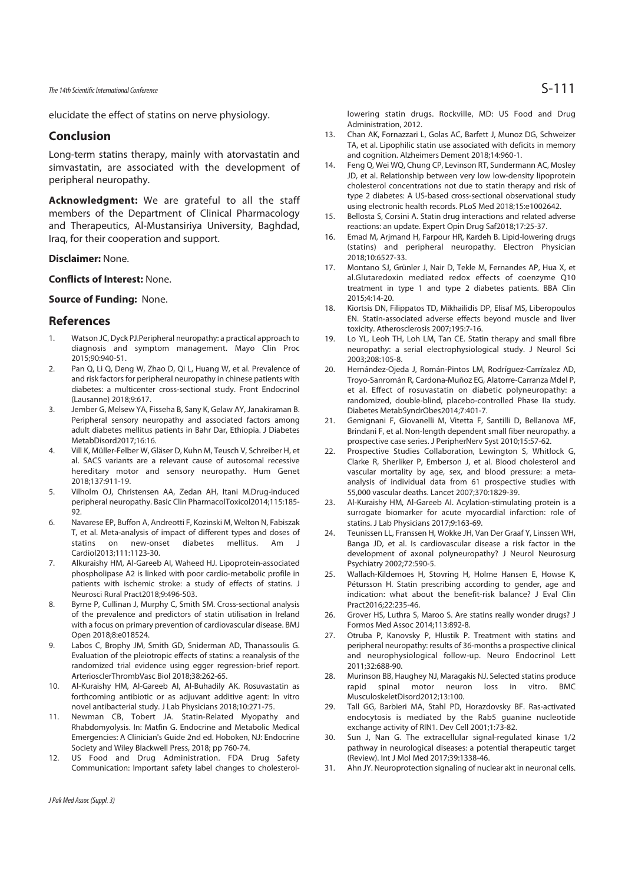elucidate the effect of statins on nerve physiology.

## **Conclusion**

Long-term statins therapy, mainly with atorvastatin and simvastatin, are associated with the development of peripheral neuropathy.

**Acknowledgment:** We are grateful to all the staff members of the Department of Clinical Pharmacology and Therapeutics, Al-Mustansiriya University, Baghdad, Iraq, for their cooperation and support.

#### **Disclaimer:** None.

#### **Conflicts of Interest:** None.

#### **Source of Funding:** None.

#### **References**

- 1. Watson JC, Dyck PJ.Peripheral neuropathy: a practical approach to diagnosis and symptom management. Mayo Clin Proc 2015;90:940-51.
- 2. Pan Q, Li Q, Deng W, Zhao D, Qi L, Huang W, et al. Prevalence of and risk factors for peripheral neuropathy in chinese patients with diabetes: a multicenter cross-sectional study. Front Endocrinol (Lausanne) 2018;9:617.
- 3. Jember G, Melsew YA, Fisseha B, Sany K, Gelaw AY, Janakiraman B. Peripheral sensory neuropathy and associated factors among adult diabetes mellitus patients in Bahr Dar, Ethiopia. J Diabetes MetabDisord2017;16:16.
- 4. Vill K, Müller-Felber W, Gläser D, Kuhn M, Teusch V, Schreiber H, et al. SACS variants are a relevant cause of autosomal recessive hereditary motor and sensory neuropathy. Hum Genet 2018;137:911-19.
- 5. Vilholm OJ, Christensen AA, Zedan AH, Itani M.Drug-induced peripheral neuropathy. Basic Clin PharmacolToxicol2014;115:185- 92.
- 6. Navarese EP, Buffon A, Andreotti F, Kozinski M, Welton N, Fabiszak T, et al. Meta-analysis of impact of different types and doses of statins on new-onset diabetes mellitus. Am J Cardiol2013;111:1123-30.
- 7. Alkuraishy HM, Al-Gareeb AI, Waheed HJ. Lipoprotein-associated phospholipase A2 is linked with poor cardio-metabolic profile in patients with ischemic stroke: a study of effects of statins. J Neurosci Rural Pract2018;9:496-503.
- 8. Byrne P, Cullinan J, Murphy C, Smith SM. Cross-sectional analysis of the prevalence and predictors of statin utilisation in Ireland with a focus on primary prevention of cardiovascular disease. BMJ Open 2018;8:e018524.
- 9. Labos C, Brophy JM, Smith GD, Sniderman AD, Thanassoulis G. Evaluation of the pleiotropic effects of statins: a reanalysis of the randomized trial evidence using egger regression-brief report. ArteriosclerThrombVasc Biol 2018;38:262-65.
- 10. Al-Kuraishy HM, Al-Gareeb AI, Al-Buhadily AK. Rosuvastatin as forthcoming antibiotic or as adjuvant additive agent: In vitro novel antibacterial study. J Lab Physicians 2018;10:271-75.
- 11. Newman CB, Tobert JA. Statin-Related Myopathy and Rhabdomyolysis. In: Matfin G. Endocrine and Metabolic Medical Emergencies: A Clinician's Guide 2nd ed. Hoboken, NJ: Endocrine Society and Wiley Blackwell Press, 2018; pp 760-74.
- 12. US Food and Drug Administration. FDA Drug Safety Communication: Important safety label changes to cholesterol-

lowering statin drugs. Rockville, MD: US Food and Drug Administration, 2012.

- 13. Chan AK, Fornazzari L, Golas AC, Barfett J, Munoz DG, Schweizer TA, et al. Lipophilic statin use associated with deficits in memory and cognition. Alzheimers Dement 2018;14:960-1.
- 14. Feng Q, Wei WQ, Chung CP, Levinson RT, Sundermann AC, Mosley JD, et al. Relationship between very low low-density lipoprotein cholesterol concentrations not due to statin therapy and risk of type 2 diabetes: A US-based cross-sectional observational study using electronic health records. PLoS Med 2018;15:e1002642.
- 15. Bellosta S, Corsini A. Statin drug interactions and related adverse reactions: an update. Expert Opin Drug Saf2018;17:25-37.
- 16. Emad M, Arjmand H, Farpour HR, Kardeh B. Lipid-lowering drugs (statins) and peripheral neuropathy. Electron Physician 2018;10:6527-33.
- 17. Montano SJ, Grünler J, Nair D, Tekle M, Fernandes AP, Hua X, et al.Glutaredoxin mediated redox effects of coenzyme Q10 treatment in type 1 and type 2 diabetes patients. BBA Clin 2015;4:14-20.
- 18. Kiortsis DN, Filippatos TD, Mikhailidis DP, Elisaf MS, Liberopoulos EN. Statin-associated adverse effects beyond muscle and liver toxicity. Atherosclerosis 2007;195:7-16.
- 19. Lo YL, Leoh TH, Loh LM, Tan CE. Statin therapy and small fibre neuropathy: a serial electrophysiological study. J Neurol Sci 2003;208:105-8.
- 20. Hernández-Ojeda J, Román-Pintos LM, Rodríguez-Carrízalez AD, Troyo-Sanromán R, Cardona-Muñoz EG, Alatorre-Carranza Mdel P, et al. Effect of rosuvastatin on diabetic polyneuropathy: a randomized, double-blind, placebo-controlled Phase IIa study. Diabetes MetabSyndrObes2014;7:401-7.
- 21. Gemignani F, Giovanelli M, Vitetta F, Santilli D, Bellanova MF, Brindani F, et al. Non-length dependent small fiber neuropathy. a prospective case series. J PeripherNerv Syst 2010;15:57-62.
- 22. Prospective Studies Collaboration, Lewington S, Whitlock G, Clarke R, Sherliker P, Emberson J, et al. Blood cholesterol and vascular mortality by age, sex, and blood pressure: a metaanalysis of individual data from 61 prospective studies with 55,000 vascular deaths. Lancet 2007;370:1829-39.
- 23. Al-Kuraishy HM, Al-Gareeb AI. Acylation-stimulating protein is a surrogate biomarker for acute myocardial infarction: role of statins. J Lab Physicians 2017;9:163-69.
- 24. Teunissen LL, Franssen H, Wokke JH, Van Der Graaf Y, Linssen WH, Banga JD, et al. Is cardiovascular disease a risk factor in the development of axonal polyneuropathy? J Neurol Neurosurg Psychiatry 2002;72:590-5.
- 25. Wallach-Kildemoes H, Stovring H, Holme Hansen E, Howse K, Pétursson H. Statin prescribing according to gender, age and indication: what about the benefit-risk balance? J Eval Clin Pract2016;22:235-46.
- 26. Grover HS, Luthra S, Maroo S. Are statins really wonder drugs? J Formos Med Assoc 2014;113:892-8.
- 27. Otruba P, Kanovsky P, Hlustik P. Treatment with statins and peripheral neuropathy: results of 36-months a prospective clinical and neurophysiological follow-up. Neuro Endocrinol Lett 2011;32:688-90.
- 28. Murinson BB, Haughey NJ, Maragakis NJ. Selected statins produce rapid spinal motor neuron loss in vitro. BMC MusculoskeletDisord2012;13:100.
- 29. Tall GG, Barbieri MA, Stahl PD, Horazdovsky BF. Ras-activated endocytosis is mediated by the Rab5 guanine nucleotide exchange activity of RIN1. Dev Cell 2001;1:73-82.
- 30. Sun J, Nan G. The extracellular signal-regulated kinase 1/2 pathway in neurological diseases: a potential therapeutic target (Review). Int J Mol Med 2017;39:1338-46.
- 31. Ahn JY. Neuroprotection signaling of nuclear akt in neuronal cells.